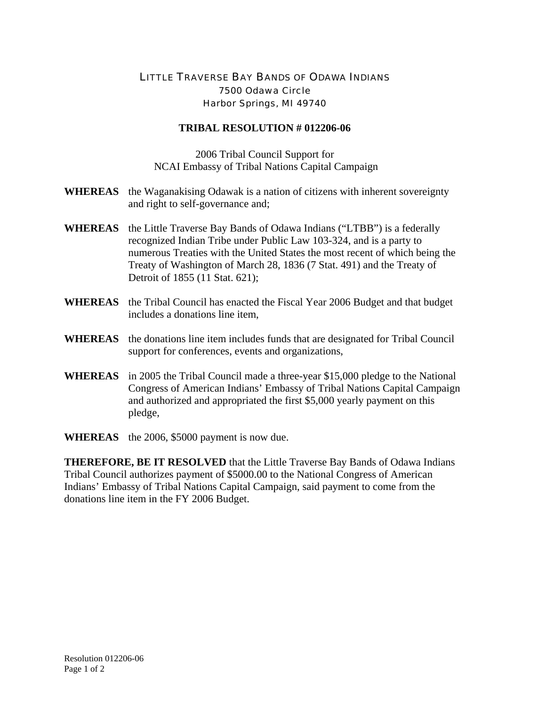## LITTLE TRAVERSE BAY BANDS OF ODAWA INDIANS 7500 Odawa Circle Harbor Springs, MI 49740

## **TRIBAL RESOLUTION # 012206-06**

2006 Tribal Council Support for NCAI Embassy of Tribal Nations Capital Campaign

- **WHEREAS** the Waganakising Odawak is a nation of citizens with inherent sovereignty and right to self-governance and;
- **WHEREAS** the Little Traverse Bay Bands of Odawa Indians ("LTBB") is a federally recognized Indian Tribe under Public Law 103-324, and is a party to numerous Treaties with the United States the most recent of which being the Treaty of Washington of March 28, 1836 (7 Stat. 491) and the Treaty of Detroit of 1855 (11 Stat. 621);
- **WHEREAS** the Tribal Council has enacted the Fiscal Year 2006 Budget and that budget includes a donations line item,
- **WHEREAS** the donations line item includes funds that are designated for Tribal Council support for conferences, events and organizations,
- **WHEREAS** in 2005 the Tribal Council made a three-year \$15,000 pledge to the National Congress of American Indians' Embassy of Tribal Nations Capital Campaign and authorized and appropriated the first \$5,000 yearly payment on this pledge,

**WHEREAS** the 2006, \$5000 payment is now due.

**THEREFORE, BE IT RESOLVED** that the Little Traverse Bay Bands of Odawa Indians Tribal Council authorizes payment of \$5000.00 to the National Congress of American Indians' Embassy of Tribal Nations Capital Campaign, said payment to come from the donations line item in the FY 2006 Budget.